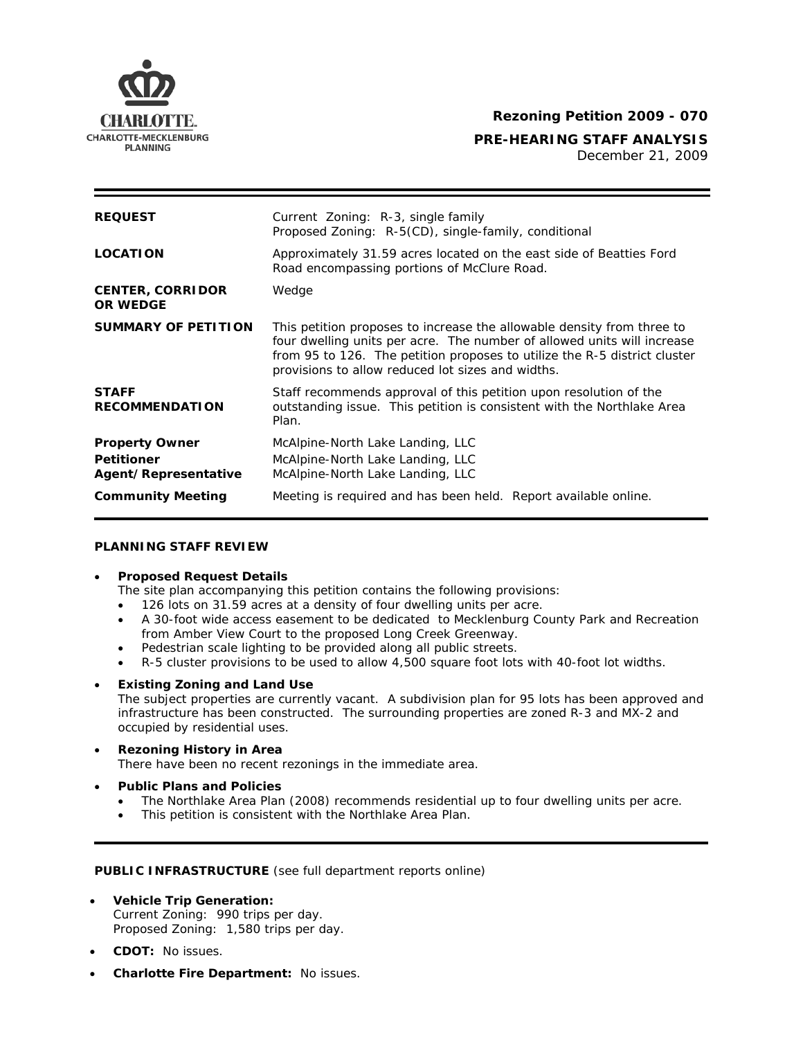

**PRE-HEARING STAFF ANALYSIS** 

PLANNING<br>December 21, 2009

| <b>REQUEST</b>                                                     | Current Zoning: R-3, single family<br>Proposed Zoning: R-5(CD), single-family, conditional                                                                                                                                                                                          |
|--------------------------------------------------------------------|-------------------------------------------------------------------------------------------------------------------------------------------------------------------------------------------------------------------------------------------------------------------------------------|
| <b>LOCATION</b>                                                    | Approximately 31.59 acres located on the east side of Beatties Ford<br>Road encompassing portions of McClure Road.                                                                                                                                                                  |
| <b>CENTER, CORRIDOR</b><br><b>OR WEDGE</b>                         | Wedge                                                                                                                                                                                                                                                                               |
| SUMMARY OF PETITION                                                | This petition proposes to increase the allowable density from three to<br>four dwelling units per acre. The number of allowed units will increase<br>from 95 to 126. The petition proposes to utilize the R-5 district cluster<br>provisions to allow reduced lot sizes and widths. |
| <b>STAFF</b><br><b>RECOMMENDATION</b>                              | Staff recommends approval of this petition upon resolution of the<br>outstanding issue. This petition is consistent with the Northlake Area<br>Plan.                                                                                                                                |
| <b>Property Owner</b><br><b>Petitioner</b><br>Agent/Representative | McAlpine-North Lake Landing, LLC<br>McAlpine-North Lake Landing, LLC<br>McAlpine-North Lake Landing, LLC                                                                                                                                                                            |
| <b>Community Meeting</b>                                           | Meeting is required and has been held. Report available online.                                                                                                                                                                                                                     |

### **PLANNING STAFF REVIEW**

## • **Proposed Request Details**

The site plan accompanying this petition contains the following provisions:

- 126 lots on 31.59 acres at a density of four dwelling units per acre.
- A 30-foot wide access easement to be dedicated to Mecklenburg County Park and Recreation from Amber View Court to the proposed Long Creek Greenway.
- Pedestrian scale lighting to be provided along all public streets.
- R-5 cluster provisions to be used to allow 4,500 square foot lots with 40-foot lot widths.

# • **Existing Zoning and Land Use**

The subject properties are currently vacant. A subdivision plan for 95 lots has been approved and infrastructure has been constructed. The surrounding properties are zoned R-3 and MX-2 and occupied by residential uses.

#### • **Rezoning History in Area**

There have been no recent rezonings in the immediate area.

- **Public Plans and Policies**
	- The *Northlake Area Plan* (2008) recommends residential up to four dwelling units per acre.
	- This petition is consistent with the *Northlake Area Plan.*

## **PUBLIC INFRASTRUCTURE** (see full department reports online)

- Current Zoning: 990 trips per day. Proposed Zoning: 1,580 trips per day. **Vehicle Trip Generation:**
- **CDOT:** No issues.
- **Charlotte Fire Department:** No issues.